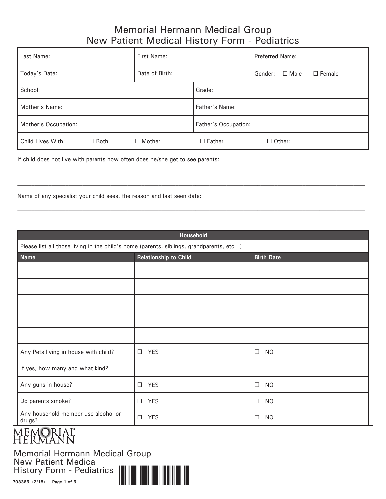| Last Name:           |             | First Name:          |               | <b>Preferred Name:</b> |               |               |
|----------------------|-------------|----------------------|---------------|------------------------|---------------|---------------|
| Today's Date:        |             | Date of Birth:       |               | Gender:                | $\Box$ Male   | $\Box$ Female |
| School:              |             | Grade:               |               |                        |               |               |
| Mother's Name:       |             | Father's Name:       |               |                        |               |               |
| Mother's Occupation: |             | Father's Occupation: |               |                        |               |               |
| Child Lives With:    | $\Box$ Both | $\Box$ Mother        | $\Box$ Father |                        | $\Box$ Other: |               |

If child does not live with parents how often does he/she get to see parents:

Name of any specialist your child sees, the reason and last seen date:

| Household                                                                               |                              |                     |  |  |  |
|-----------------------------------------------------------------------------------------|------------------------------|---------------------|--|--|--|
| Please list all those living in the child's home (parents, siblings, grandparents, etc) |                              |                     |  |  |  |
| <b>Name</b>                                                                             | <b>Relationship to Child</b> | <b>Birth Date</b>   |  |  |  |
|                                                                                         |                              |                     |  |  |  |
|                                                                                         |                              |                     |  |  |  |
|                                                                                         |                              |                     |  |  |  |
|                                                                                         |                              |                     |  |  |  |
|                                                                                         |                              |                     |  |  |  |
| Any Pets living in house with child?                                                    | <b>YES</b><br>$\Box$         | <b>NO</b><br>$\Box$ |  |  |  |
| If yes, how many and what kind?                                                         |                              |                     |  |  |  |
| Any guns in house?                                                                      | <b>YES</b><br>$\Box$         | $\Box$<br><b>NO</b> |  |  |  |
| Do parents smoke?                                                                       | <b>YES</b><br>$\Box$         | <b>NO</b><br>$\Box$ |  |  |  |
| Any household member use alcohol or<br>drugs?                                           | <b>YES</b><br>$\Box$         | <b>NO</b><br>$\Box$ |  |  |  |

# MEMORIAL"<br>Hermann

Memorial Hermann Medical Group New Patient Medical History Form - Pediatrics



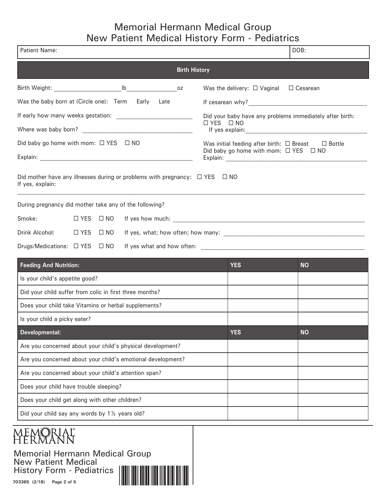| Patient Name:                                                                                             |  |                      |                                  | DOB:                                                                                                            |  |
|-----------------------------------------------------------------------------------------------------------|--|----------------------|----------------------------------|-----------------------------------------------------------------------------------------------------------------|--|
|                                                                                                           |  | <b>Birth History</b> |                                  |                                                                                                                 |  |
|                                                                                                           |  |                      | Was the delivery: $\Box$ Vaginal | □ Cesarean                                                                                                      |  |
| Was the baby born at (Circle one): Term Early Late                                                        |  |                      |                                  |                                                                                                                 |  |
|                                                                                                           |  |                      |                                  | Did your baby have any problems immediately after birth:                                                        |  |
|                                                                                                           |  |                      | □ YES □ NO                       |                                                                                                                 |  |
| Did baby go home with mom: $\Box$ YES $\Box$ NO                                                           |  |                      |                                  | Was initial feeding after birth: $\Box$ Breast $\Box$ Bottle<br>Did baby go home with mom: $\Box$ YES $\Box$ NO |  |
|                                                                                                           |  |                      |                                  |                                                                                                                 |  |
| Did mother have any illnesses during or problems with pregnancy: $\Box$ YES $\Box$ NO<br>If yes, explain: |  |                      |                                  |                                                                                                                 |  |
| During pregnancy did mother take any of the following?                                                    |  |                      |                                  |                                                                                                                 |  |
| Smoke:<br>$\Box$ YES $\Box$ NO                                                                            |  |                      |                                  |                                                                                                                 |  |
| Drink Alcohol: □ YES □ NO                                                                                 |  |                      |                                  |                                                                                                                 |  |
| Drugs/Medications: □ YES □ NO                                                                             |  |                      |                                  |                                                                                                                 |  |
| <b>Feeding And Nutrition:</b>                                                                             |  |                      | <b>YES</b>                       | <b>NO</b>                                                                                                       |  |
| Is your child's appetite good?                                                                            |  |                      |                                  |                                                                                                                 |  |
| Did your child suffer from colic in first three months?                                                   |  |                      |                                  |                                                                                                                 |  |
| Does your child take Vitamins or herbal supplements?                                                      |  |                      |                                  |                                                                                                                 |  |
| Is your child a picky eater?                                                                              |  |                      |                                  |                                                                                                                 |  |
| Developmental:                                                                                            |  |                      | <b>YES</b>                       | <b>NO</b>                                                                                                       |  |
| Are you concerned about your child's physical development?                                                |  |                      |                                  |                                                                                                                 |  |
| Are you concerned about your child's emotional development?                                               |  |                      |                                  |                                                                                                                 |  |
| Are you concerned about your child's attention span?                                                      |  |                      |                                  |                                                                                                                 |  |
| Does your child have trouble sleeping?                                                                    |  |                      |                                  |                                                                                                                 |  |
| Does your child get along with other children?                                                            |  |                      |                                  |                                                                                                                 |  |
| Did your child say any words by 1 1/2 years old?                                                          |  |                      |                                  |                                                                                                                 |  |

# memoriaľ<br>Hermann

Memorial Hermann Medical Group New Patient Medical History Form - Pediatrics

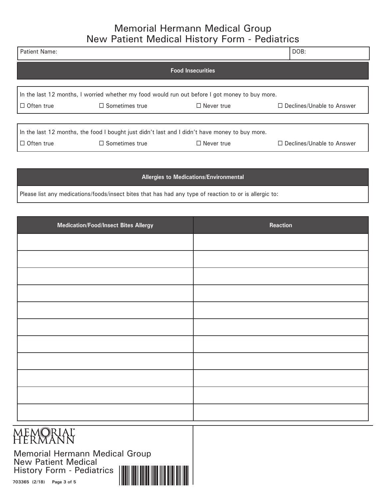| <b>Patient Name:</b> |                                                                                                                         |                   | DOB:                             |  |  |  |  |
|----------------------|-------------------------------------------------------------------------------------------------------------------------|-------------------|----------------------------------|--|--|--|--|
|                      | <b>Food Insecurities</b>                                                                                                |                   |                                  |  |  |  |  |
| $\Box$ Often true    | In the last 12 months, I worried whether my food would run out before I got money to buy more.<br>$\Box$ Sometimes true | $\Box$ Never true | $\Box$ Declines/Unable to Answer |  |  |  |  |
| $\Box$ Often true    | In the last 12 months, the food I bought just didn't last and I didn't have money to buy more.<br>$\Box$ Sometimes true | $\Box$ Never true | $\Box$ Declines/Unable to Answer |  |  |  |  |

#### **Allergies to Medications/Environmental**

Please list any medications/foods/insect bites that has had any type of reaction to or is allergic to:

| Medication/Food/Insect Bites Allergy | Reaction |
|--------------------------------------|----------|
|                                      |          |
|                                      |          |
|                                      |          |
|                                      |          |
|                                      |          |
|                                      |          |
|                                      |          |
|                                      |          |
|                                      |          |
|                                      |          |
|                                      |          |

## **MEMORIAL**<br>HERMANN

Memorial Hermann Medical Group<br>New Patient Medical New Patient Medical History Form - Pediatrics

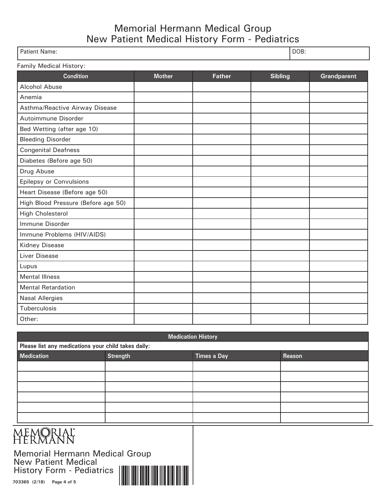| Patient Name: | DOB: |
|---------------|------|
|               |      |

| Family Medical History:             |               |               |                |                    |  |  |
|-------------------------------------|---------------|---------------|----------------|--------------------|--|--|
| <b>Condition</b>                    | <b>Mother</b> | <b>Father</b> | <b>Sibling</b> | <b>Grandparent</b> |  |  |
| Alcohol Abuse                       |               |               |                |                    |  |  |
| Anemia                              |               |               |                |                    |  |  |
| Asthma/Reactive Airway Disease      |               |               |                |                    |  |  |
| Autoimmune Disorder                 |               |               |                |                    |  |  |
| Bed Wetting (after age 10)          |               |               |                |                    |  |  |
| <b>Bleeding Disorder</b>            |               |               |                |                    |  |  |
| <b>Congenital Deafness</b>          |               |               |                |                    |  |  |
| Diabetes (Before age 50)            |               |               |                |                    |  |  |
| Drug Abuse                          |               |               |                |                    |  |  |
| Epilepsy or Convulsions             |               |               |                |                    |  |  |
| Heart Disease (Before age 50)       |               |               |                |                    |  |  |
| High Blood Pressure (Before age 50) |               |               |                |                    |  |  |
| <b>High Cholesterol</b>             |               |               |                |                    |  |  |
| Immune Disorder                     |               |               |                |                    |  |  |
| Immune Problems (HIV/AIDS)          |               |               |                |                    |  |  |
| <b>Kidney Disease</b>               |               |               |                |                    |  |  |
| Liver Disease                       |               |               |                |                    |  |  |
| Lupus                               |               |               |                |                    |  |  |
| <b>Mental Illness</b>               |               |               |                |                    |  |  |
| <b>Mental Retardation</b>           |               |               |                |                    |  |  |
| <b>Nasal Allergies</b>              |               |               |                |                    |  |  |
| Tuberculosis                        |               |               |                |                    |  |  |
| Other:                              |               |               |                |                    |  |  |

| <b>Medication History</b>                                            |  |  |  |  |  |
|----------------------------------------------------------------------|--|--|--|--|--|
| Please list any medications your child takes daily:                  |  |  |  |  |  |
| <b>Strength</b><br><b>Medication</b><br><b>Times a Day</b><br>Reason |  |  |  |  |  |
|                                                                      |  |  |  |  |  |
|                                                                      |  |  |  |  |  |
|                                                                      |  |  |  |  |  |
|                                                                      |  |  |  |  |  |
|                                                                      |  |  |  |  |  |
|                                                                      |  |  |  |  |  |

# MEMORIAL"<br>HERMANN

Memorial Hermann Medical Group New Patient Medical History Form - Pediatrics